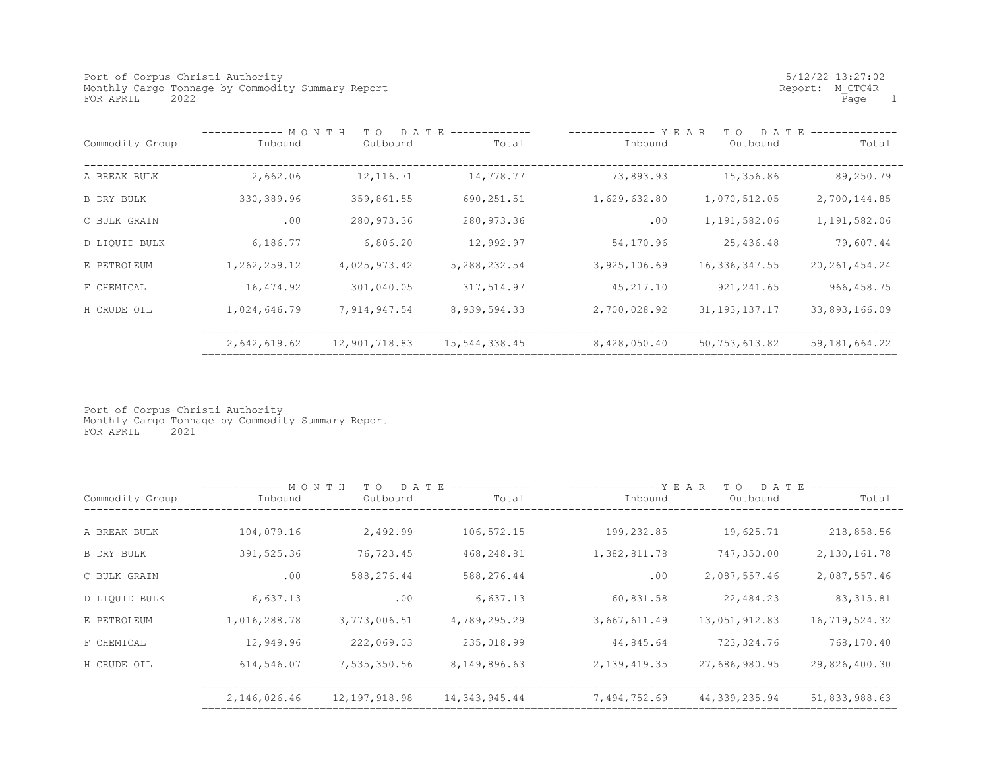Port of Corpus Christi Authority<br>
Monthly Cargo Tonnage by Commodity Summary Report<br>
Monthly Cargo Tonnage by Commodity Summary Report Monthly Cargo Tonnage by Commodity Summary Report <br>FOR APRIL 2022 Report: M\_CTC4R<br>Rage 1 FOR APRIL 2022

|                 | MONTH<br>D A T E<br>T O |               |                | YEAR<br>D A T E<br>T O |                  |                 |
|-----------------|-------------------------|---------------|----------------|------------------------|------------------|-----------------|
| Commodity Group | Inbound                 | Outbound      | Total          | Inbound                | Outbound         | Total           |
|                 |                         |               |                |                        |                  |                 |
| A BREAK BULK    | 2,662.06                | 12, 116. 71   | 14,778.77      | 73,893.93              | 15,356.86        | 89,250.79       |
| B DRY BULK      | 330,389.96              | 359,861.55    | 690,251.51     | 1,629,632.80           | 1,070,512.05     | 2,700,144.85    |
| C BULK GRAIN    | .00                     | 280,973.36    | 280, 973.36    | .00                    | 1,191,582.06     | 1,191,582.06    |
| D LIQUID BULK   | 6,186.77                | 6,806.20      | 12,992.97      | 54,170.96              | 25,436.48        | 79,607.44       |
| E PETROLEUM     | 1,262,259.12            | 4,025,973.42  | 5, 288, 232.54 | 3,925,106.69           | 16,336,347.55    | 20, 261, 454.24 |
| F CHEMICAL      | 16,474.92               | 301,040.05    | 317,514.97     | 45,217.10              | 921, 241.65      | 966, 458.75     |
| H CRUDE OIL     | 1,024,646.79            | 7,914,947.54  | 8,939,594.33   | 2,700,028.92           | 31, 193, 137. 17 | 33,893,166.09   |
|                 | 2,642,619.62            | 12,901,718.83 | 15,544,338.45  | 8,428,050.40           | 50,753,613.82    | 59, 181, 664.22 |

Port of Corpus Christi Authority Monthly Cargo Tonnage by Commodity Summary Report FOR APRIL 2021

|                   | MONTH<br>D A T<br>T O<br>- E |               |               | YEAR<br>T O<br>D A T |               |               |
|-------------------|------------------------------|---------------|---------------|----------------------|---------------|---------------|
| Commodity Group   | Inbound                      | Outbound      | Total         | Inbound              | Outbound      | Total         |
|                   |                              |               |               |                      |               |               |
| A BREAK BULK      | 104,079.16                   | 2,492.99      | 106,572.15    | 199,232.85           | 19,625.71     | 218,858.56    |
| <b>B DRY BULK</b> | 391,525.36                   | 76,723.45     | 468,248.81    | 1,382,811.78         | 747,350.00    | 2,130,161.78  |
| C BULK GRAIN      | .00                          | 588,276.44    | 588,276.44    | .00                  | 2,087,557.46  | 2,087,557.46  |
| D LIQUID BULK     | 6,637.13                     | .00           | 6,637.13      | 60,831.58            | 22,484.23     | 83, 315.81    |
| E PETROLEUM       | 1,016,288.78                 | 3,773,006.51  | 4,789,295.29  | 3,667,611.49         | 13,051,912.83 | 16,719,524.32 |
| F CHEMICAL        | 12,949.96                    | 222,069.03    | 235,018.99    | 44,845.64            | 723,324.76    | 768,170.40    |
| H CRUDE OIL       | 614,546.07                   | 7,535,350.56  | 8,149,896.63  | 2, 139, 419.35       | 27,686,980.95 | 29,826,400.30 |
|                   | 2,146,026.46                 | 12,197,918.98 | 14,343,945.44 | 7,494,752.69         | 44,339,235.94 | 51,833,988.63 |
|                   |                              |               |               |                      |               |               |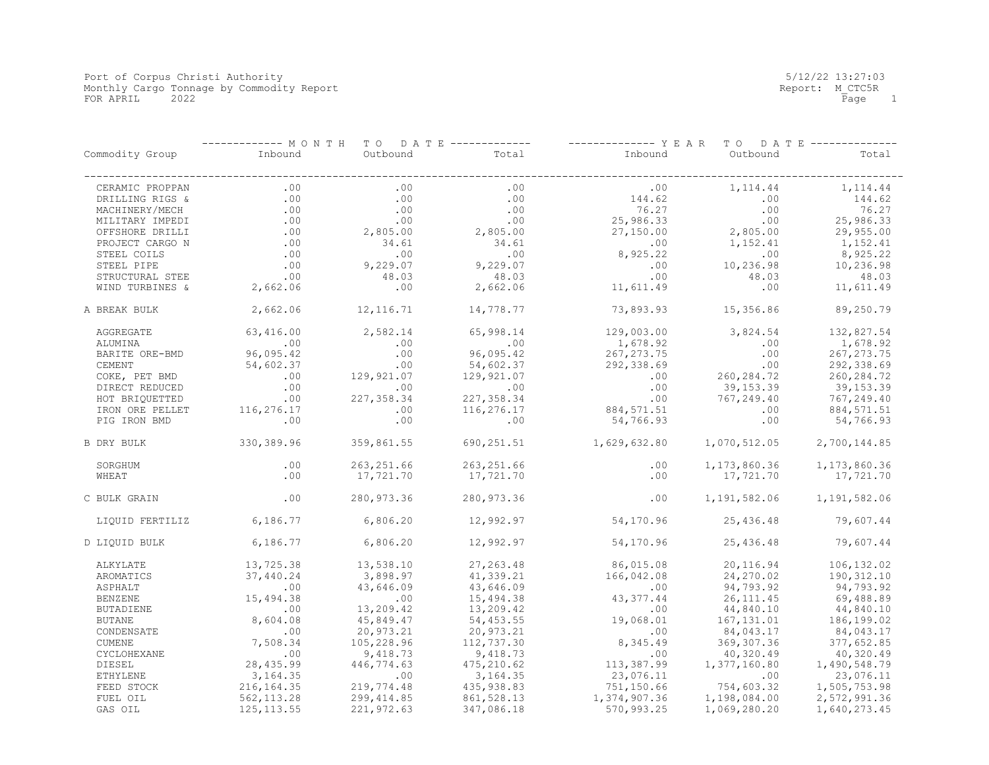|                 | ----- МОЛТН | T O<br>D A T E |             | - Y E A R    | T O<br>D A T     |              |
|-----------------|-------------|----------------|-------------|--------------|------------------|--------------|
| Commodity Group | Inbound     | Outbound       | Total       | Inbound      | Outbound         | Total        |
| CERAMIC PROPPAN | .00         | .00            | .00         | .00          | 1,114.44         | 1, 114.44    |
| DRILLING RIGS & | .00         | .00            | .00         | 144.62       | .00              | 144.62       |
| MACHINERY/MECH  | .00         | .00            | .00         | 76.27        | .00              | 76.27        |
| MILITARY IMPEDI | .00         | .00            | .00         | 25,986.33    | .00              | 25,986.33    |
| OFFSHORE DRILLI | .00         | 2,805.00       | 2,805.00    | 27,150.00    | 2,805.00         | 29,955.00    |
| PROJECT CARGO N | .00         | 34.61          | 34.61       | .00          | 1,152.41         | 1,152.41     |
|                 | .00         | .00            | .00         |              |                  | 8,925.22     |
| STEEL COILS     | .00         | 9,229.07       | 9,229.07    | 8,925.22     | .00<br>10,236.98 |              |
| STEEL PIPE      |             |                |             | $.00 \,$     |                  | 10,236.98    |
| STRUCTURAL STEE | .00         | 48.03          | 48.03       | .00          | 48.03            | 48.03        |
| WIND TURBINES & | 2,662.06    | .00            | 2,662.06    | 11,611.49    | .00              | 11,611.49    |
| A BREAK BULK    | 2,662.06    | 12, 116.71     | 14,778.77   | 73,893.93    | 15,356.86        | 89,250.79    |
| AGGREGATE       | 63,416.00   | 2,582.14       | 65,998.14   | 129,003.00   | 3,824.54         | 132,827.54   |
| ALUMINA         | .00         | .00            | .00         | 1,678.92     | .00              | 1,678.92     |
| BARITE ORE-BMD  | 96,095.42   | .00            | 96,095.42   | 267, 273.75  | .00              | 267, 273.75  |
| CEMENT          | 54,602.37   | .00            | 54,602.37   | 292,338.69   | .00              | 292,338.69   |
| COKE, PET BMD   | .00         | 129,921.07     | 129,921.07  | .00          | 260, 284.72      | 260, 284.72  |
| DIRECT REDUCED  | .00         | .00            | .00         | .00          | 39,153.39        | 39,153.39    |
| HOT BRIOUETTED  | .00         | 227,358.34     | 227, 358.34 | .00          | 767,249.40       | 767,249.40   |
| IRON ORE PELLET | 116,276.17  | .00            | 116,276.17  | 884, 571.51  | .00              | 884, 571.51  |
| PIG IRON BMD    | .00         | .00            | .00         | 54,766.93    | .00              | 54,766.93    |
| B DRY BULK      | 330,389.96  | 359,861.55     | 690,251.51  | 1,629,632.80 | 1,070,512.05     | 2,700,144.85 |
| SORGHUM         | .00         | 263, 251.66    | 263, 251.66 | .00          | 1,173,860.36     | 1,173,860.36 |
| WHEAT           | .00         | 17,721.70      | 17,721.70   | .00          | 17,721.70        | 17,721.70    |
|                 |             |                |             |              |                  |              |
| C BULK GRAIN    | .00         | 280,973.36     | 280, 973.36 | .00          | 1,191,582.06     | 1,191,582.06 |
| LIQUID FERTILIZ | 6,186.77    | 6,806.20       | 12,992.97   | 54,170.96    | 25,436.48        | 79,607.44    |
| D LIQUID BULK   | 6,186.77    | 6,806.20       | 12,992.97   | 54,170.96    | 25,436.48        | 79,607.44    |
| ALKYLATE        | 13,725.38   | 13,538.10      | 27,263.48   | 86,015.08    | 20,116.94        | 106, 132.02  |
| AROMATICS       | 37,440.24   | 3,898.97       | 41,339.21   | 166,042.08   | 24,270.02        | 190,312.10   |
| ASPHALT         | .00         | 43,646.09      | 43,646.09   | .00          | 94,793.92        | 94,793.92    |
| <b>BENZENE</b>  | 15,494.38   | .00            | 15,494.38   | 43, 377.44   | 26,111.45        | 69,488.89    |
| BUTADIENE       | .00         | 13,209.42      | 13,209.42   | .00          | 44,840.10        | 44,840.10    |
| <b>BUTANE</b>   | 8,604.08    | 45,849.47      | 54,453.55   | 19,068.01    | 167, 131.01      | 186,199.02   |
| CONDENSATE      | .00         | 20,973.21      | 20,973.21   | .00          | 84,043.17        | 84,043.17    |
| <b>CUMENE</b>   | 7,508.34    | 105,228.96     | 112,737.30  | 8,345.49     | 369, 307.36      | 377,652.85   |
| CYCLOHEXANE     | .00         | 9,418.73       | 9,418.73    | .00          | 40,320.49        | 40,320.49    |
| DIESEL          | 28,435.99   | 446,774.63     | 475,210.62  | 113,387.99   | 1,377,160.80     | 1,490,548.79 |
|                 |             | .00            |             |              |                  |              |
| ETHYLENE        | 3, 164. 35  |                | 3, 164.35   | 23,076.11    | .00              | 23,076.11    |
| FEED STOCK      | 216, 164.35 | 219,774.48     | 435,938.83  | 751,150.66   | 754,603.32       | 1,505,753.98 |
| FUEL OIL        | 562, 113.28 | 299,414.85     | 861, 528.13 | 1,374,907.36 | 1,198,084.00     | 2,572,991.36 |
| GAS OIL         | 125, 113.55 | 221,972.63     | 347,086.18  | 570,993.25   | 1,069,280.20     | 1,640,273.45 |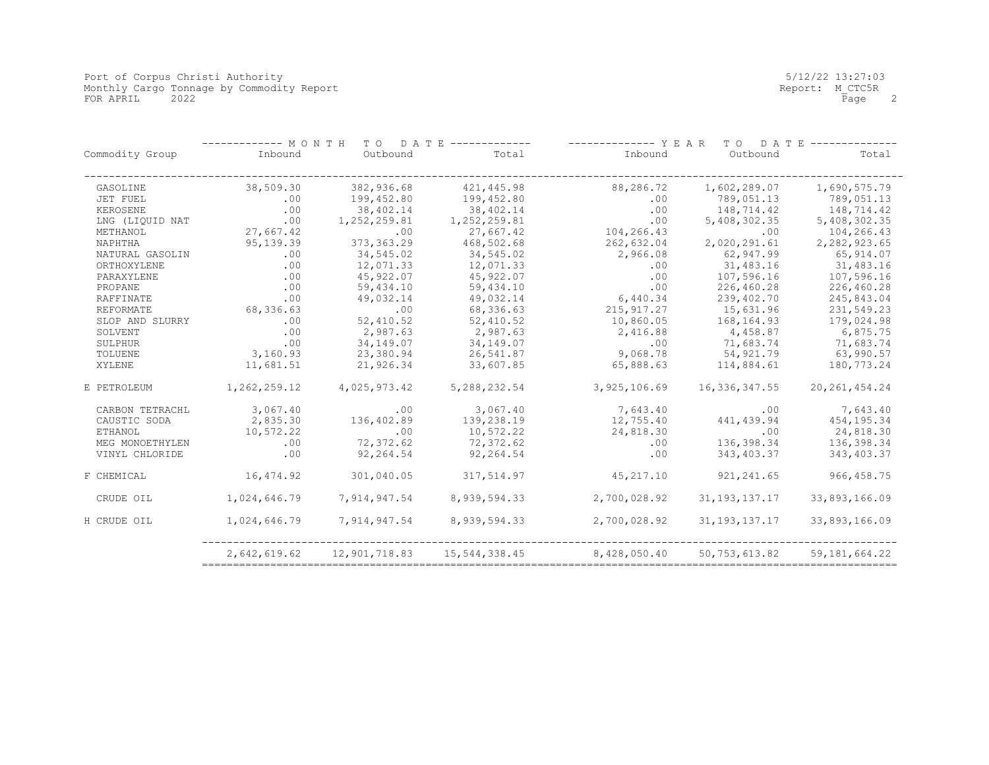Port of Corpus Christi Authority 5/12/22 13:27:03 Monthly Cargo Tonnage by Commodity Report Report: M\_CTC5R FOR APRIL 2022 Page 2

|                 | ----- M O N T H | TO DATE       |               |              | YEAR<br>D A T<br>T O | E.              |
|-----------------|-----------------|---------------|---------------|--------------|----------------------|-----------------|
| Commodity Group | Inbound         | Outbound      | Total         | Inbound      | Outbound             | Total           |
| GASOLINE        | 38,509.30       | 382,936.68    | 421, 445.98   | 88,286.72    | 1,602,289.07         | 1,690,575.79    |
| JET FUEL        | .00             | 199,452.80    | 199,452.80    | .00          | 789,051.13           | 789,051.13      |
| KEROSENE        | .00             | 38,402.14     | 38,402.14     | .00          | 148,714.42           | 148,714.42      |
| LNG (LIOUID NAT | .00             | 1,252,259.81  | 1,252,259.81  | .00          | 5,408,302.35         | 5,408,302.35    |
| METHANOL        | 27,667.42       | .00           | 27,667.42     | 104,266.43   | .00                  | 104,266.43      |
| NAPHTHA         | 95,139.39       | 373, 363.29   | 468,502.68    | 262,632.04   | 2,020,291.61         | 2,282,923.65    |
| NATURAL GASOLIN | .00             | 34,545.02     | 34,545.02     | 2,966.08     | 62,947.99            | 65, 914.07      |
| ORTHOXYLENE     | .00             | 12,071.33     | 12,071.33     | .00          | 31,483.16            | 31,483.16       |
| PARAXYLENE      | .00             | 45,922.07     | 45,922.07     | .00          | 107,596.16           | 107,596.16      |
| PROPANE         | .00             | 59,434.10     | 59,434.10     | .00          | 226,460.28           | 226,460.28      |
| RAFFINATE       | .00             | 49,032.14     | 49,032.14     | 6,440.34     | 239,402.70           | 245,843.04      |
| REFORMATE       | 68,336.63       | .00           | 68,336.63     | 215, 917.27  | 15,631.96            | 231,549.23      |
| SLOP AND SLURRY | .00             | 52,410.52     | 52,410.52     | 10,860.05    | 168, 164.93          | 179,024.98      |
| SOLVENT         | .00             | 2,987.63      | 2,987.63      | 2,416.88     | 4,458.87             | 6,875.75        |
| SULPHUR         | .00             | 34,149.07     | 34,149.07     | .00          | 71,683.74            | 71,683.74       |
| TOLUENE         | 3,160.93        | 23,380.94     | 26,541.87     | 9,068.78     | 54,921.79            | 63,990.57       |
| XYLENE          | 11,681.51       | 21,926.34     | 33,607.85     | 65,888.63    | 114,884.61           | 180,773.24      |
| E PETROLEUM     | 1,262,259.12    | 4,025,973.42  | 5,288,232.54  | 3,925,106.69 | 16,336,347.55        | 20, 261, 454.24 |
| CARBON TETRACHL | 3,067.40        | .00           | 3,067.40      | 7,643.40     | .00                  | 7,643.40        |
| CAUSTIC SODA    | 2,835.30        | 136,402.89    | 139,238.19    | 12,755.40    | 441,439.94           | 454, 195.34     |
| <b>ETHANOL</b>  | 10,572.22       | .00           | 10,572.22     | 24,818.30    | .00                  | 24,818.30       |
| MEG MONOETHYLEN | .00             | 72,372.62     | 72,372.62     | .00          | 136,398.34           | 136,398.34      |
| VINYL CHLORIDE  | .00             | 92,264.54     | 92,264.54     | .00          | 343,403.37           | 343, 403.37     |
| F CHEMICAL      | 16,474.92       | 301,040.05    | 317,514.97    | 45,217.10    | 921, 241.65          | 966, 458.75     |
| CRUDE OIL       | 1,024,646.79    | 7,914,947.54  | 8,939,594.33  | 2,700,028.92 | 31, 193, 137. 17     | 33,893,166.09   |
| H CRUDE OIL     | 1,024,646.79    | 7,914,947.54  | 8,939,594.33  | 2,700,028.92 | 31, 193, 137. 17     | 33,893,166.09   |
|                 | 2,642,619.62    | 12,901,718.83 | 15,544,338.45 | 8,428,050.40 | 50,753,613.82        | 59, 181, 664.22 |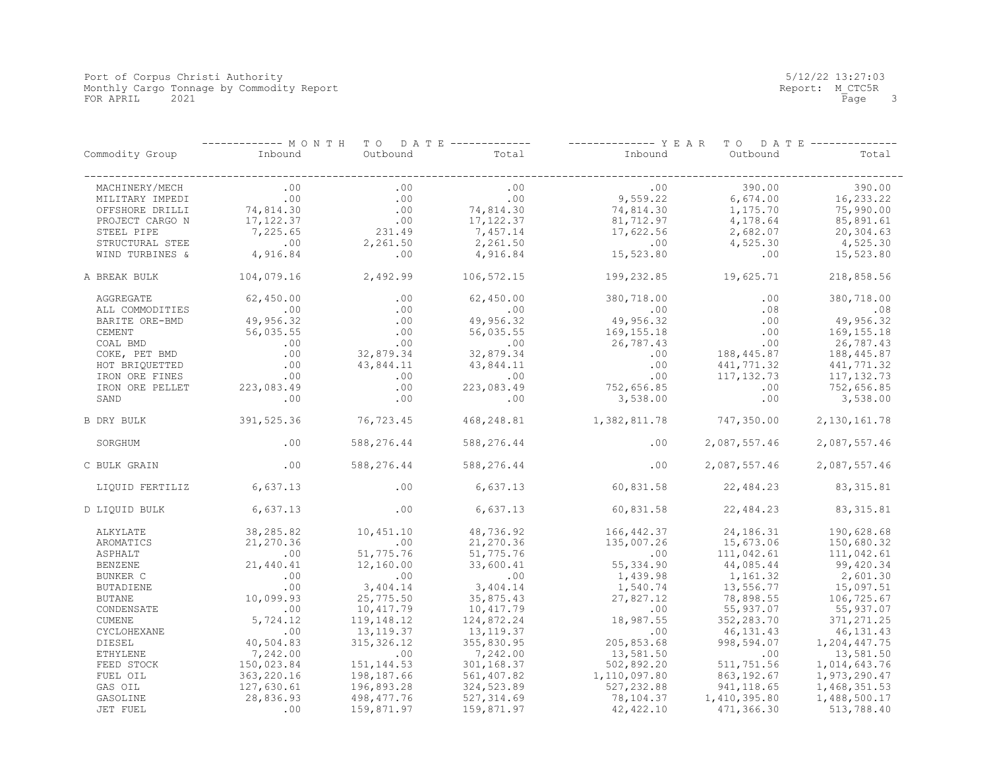Port of Corpus Christi Authority 5/12/22 13:27:03 Monthly Cargo Tonnage by Commodity Report Report: M\_CTC5R FOR APRIL 2021 Page 3

|                 | ----------- MONTH<br>TO DATE ------------- |                         |             | -------------- Y E A R<br>T O<br>D A T E ---------- |              |                |
|-----------------|--------------------------------------------|-------------------------|-------------|-----------------------------------------------------|--------------|----------------|
| Commodity Group | Inbound                                    | Outbound                | Total       | Inbound                                             | Outbound     | Total          |
| MACHINERY/MECH  | .00                                        | .00                     | .00         | .00                                                 | 390.00       | 390.00         |
| MILITARY IMPEDI | .00                                        | .00                     | .00         | 9,559.22                                            | 6,674.00     | 16, 233.22     |
| OFFSHORE DRILLI | 74,814.30                                  | $\boldsymbol{\cdot}$ 00 | 74,814.30   | 74,814.30                                           | 1,175.70     | 75,990.00      |
| PROJECT CARGO N | 17,122.37                                  | .00                     | 17, 122.37  | 81,712.97                                           | 4,178.64     | 85,891.61      |
| STEEL PIPE      | 7,225.65                                   | 231.49                  | 7,457.14    | 17,622.56                                           | 2,682.07     | 20,304.63      |
| STRUCTURAL STEE | .00                                        | 2,261.50                | 2,261.50    | .00                                                 | 4,525.30     | 4,525.30       |
| WIND TURBINES & | 4,916.84                                   | .00                     | 4,916.84    | 15,523.80                                           | .00          | 15,523.80      |
| A BREAK BULK    | 104,079.16                                 | 2,492.99                | 106,572.15  | 199,232.85                                          | 19,625.71    | 218,858.56     |
| AGGREGATE       | 62,450.00                                  | .00                     | 62,450.00   | 380,718.00                                          | .00          | 380,718.00     |
| ALL COMMODITIES | .00                                        | .00                     | .00         | .00                                                 | .08          | .08            |
| BARITE ORE-BMD  | 49,956.32                                  | .00                     | 49,956.32   | 49,956.32                                           | .00          | 49,956.32      |
| CEMENT          | 56,035.55                                  | .00                     | 56,035.55   | 169, 155. 18                                        | .00          | 169, 155. 18   |
| COAL BMD        | .00                                        | .00                     | .00         | 26,787.43                                           | .00          | 26,787.43      |
| COKE, PET BMD   | .00                                        | 32,879.34               | 32,879.34   | .00                                                 | 188,445.87   | 188,445.87     |
| HOT BRIQUETTED  | .00                                        | 43,844.11               | 43,844.11   | .00                                                 | 441,771.32   | 441,771.32     |
| IRON ORE FINES  | .00                                        | .00                     | .00         | .00                                                 | 117, 132.73  | 117, 132.73    |
| IRON ORE PELLET | 223,083.49                                 | .00                     | 223,083.49  | 752,656.85                                          | .00          | 752,656.85     |
| SAND            | .00                                        | .00                     | .00         | 3,538.00                                            | .00          | 3,538.00       |
| B DRY BULK      | 391,525.36                                 | 76,723.45               | 468,248.81  | 1,382,811.78                                        | 747,350.00   | 2, 130, 161.78 |
| SORGHUM         | .00                                        | 588,276.44              | 588,276.44  | .00                                                 | 2,087,557.46 | 2,087,557.46   |
| C BULK GRAIN    | .00                                        | 588,276.44              | 588,276.44  | .00                                                 | 2,087,557.46 | 2,087,557.46   |
| LIQUID FERTILIZ | 6,637.13                                   | .00                     | 6,637.13    | 60,831.58                                           | 22,484.23    | 83, 315.81     |
| D LIQUID BULK   | 6,637.13                                   | .00                     | 6,637.13    | 60,831.58                                           | 22,484.23    | 83, 315.81     |
| ALKYLATE        | 38,285.82                                  | 10,451.10               | 48,736.92   | 166, 442.37                                         | 24,186.31    | 190,628.68     |
| AROMATICS       | 21,270.36                                  | .00                     | 21,270.36   | 135,007.26                                          | 15,673.06    | 150,680.32     |
| ASPHALT         | .00                                        | 51,775.76               | 51,775.76   | .00                                                 | 111,042.61   | 111,042.61     |
| <b>BENZENE</b>  | 21,440.41                                  | 12,160.00               | 33,600.41   | 55,334.90                                           | 44,085.44    | 99,420.34      |
| BUNKER C        | .00                                        | .00                     | .00         | 1,439.98                                            | 1,161.32     | 2,601.30       |
| BUTADIENE       | .00                                        | 3,404.14                | 3,404.14    | 1,540.74                                            | 13,556.77    | 15,097.51      |
| <b>BUTANE</b>   | 10,099.93                                  | 25,775.50               | 35,875.43   | 27,827.12                                           | 78,898.55    | 106,725.67     |
| CONDENSATE      | .00                                        | 10,417.79               | 10,417.79   | .00                                                 | 55,937.07    | 55,937.07      |
| CUMENE          | 5,724.12                                   | 119,148.12              | 124,872.24  | 18,987.55                                           | 352,283.70   | 371, 271.25    |
| CYCLOHEXANE     | .00                                        | 13,119.37               | 13,119.37   | .00                                                 | 46,131.43    | 46,131.43      |
| DIESEL          | 40,504.83                                  | 315, 326.12             | 355,830.95  | 205,853.68                                          | 998,594.07   | 1,204,447.75   |
| <b>ETHYLENE</b> | 7,242.00                                   | .00                     | 7,242.00    | 13,581.50                                           | .00          | 13,581.50      |
| FEED STOCK      | 150,023.84                                 | 151, 144.53             | 301,168.37  | 502,892.20                                          | 511,751.56   | 1,014,643.76   |
| FUEL OIL        | 363,220.16                                 | 198,187.66              | 561,407.82  | 1,110,097.80                                        | 863, 192.67  | 1,973,290.47   |
| GAS OIL         | 127,630.61                                 | 196,893.28              | 324,523.89  | 527,232.88                                          | 941, 118.65  | 1,468,351.53   |
| GASOLINE        | 28,836.93                                  | 498, 477.76             | 527, 314.69 | 78,104.37                                           | 1,410,395.80 | 1,488,500.17   |
| JET FUEL        | .00                                        | 159,871.97              | 159,871.97  | 42, 422.10                                          | 471,366.30   | 513,788.40     |